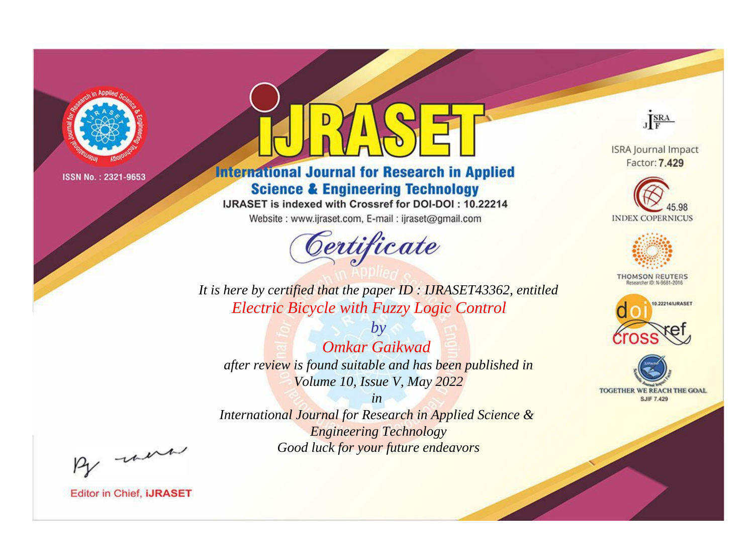

# **International Journal for Research in Applied Science & Engineering Technology**

IJRASET is indexed with Crossref for DOI-DOI: 10.22214

Website: www.ijraset.com, E-mail: ijraset@gmail.com



JERA

**ISRA Journal Impact** Factor: 7.429





**THOMSON REUTERS** 



TOGETHER WE REACH THE GOAL **SJIF 7.429** 

*It is here by certified that the paper ID : IJRASET43362, entitled Electric Bicycle with Fuzzy Logic Control*

*by Omkar Gaikwad after review is found suitable and has been published in Volume 10, Issue V, May 2022*

*in* 

*International Journal for Research in Applied Science & Engineering Technology Good luck for your future endeavors*

By morn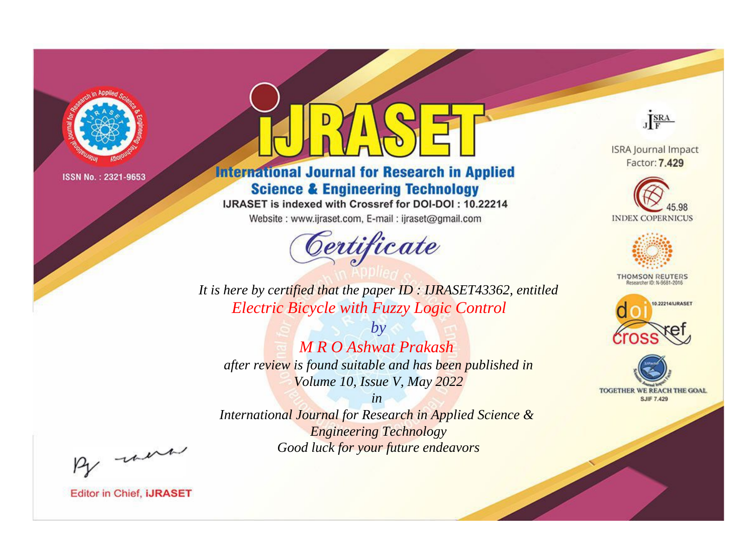

# **International Journal for Research in Applied Science & Engineering Technology**

IJRASET is indexed with Crossref for DOI-DOI: 10.22214

Website: www.ijraset.com, E-mail: ijraset@gmail.com



JERA

**ISRA Journal Impact** Factor: 7.429





**THOMSON REUTERS** 



TOGETHER WE REACH THE GOAL **SJIF 7.429** 

It is here by certified that the paper ID: IJRASET43362, entitled **Electric Bicycle with Fuzzy Logic Control** 

 $b\nu$ **M R O Ashwat Prakash** after review is found suitable and has been published in Volume 10, Issue V, May 2022

 $in$ International Journal for Research in Applied Science & **Engineering Technology** Good luck for your future endeavors

By morn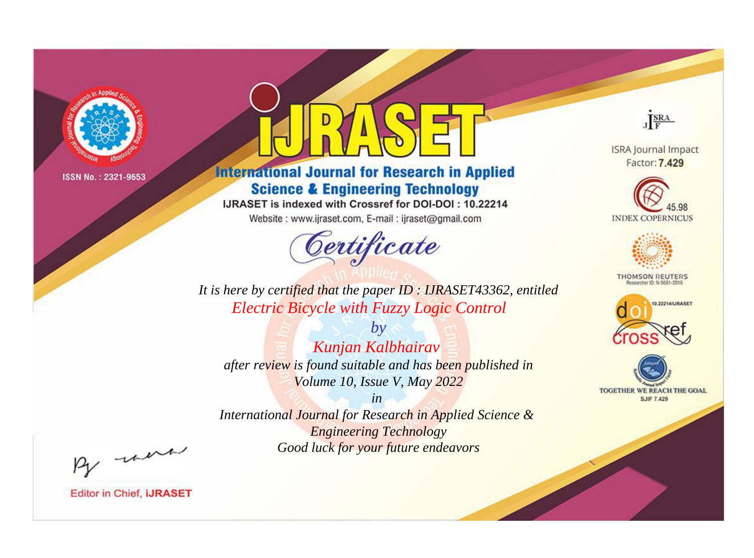

# **International Journal for Research in Applied Science & Engineering Technology**

IJRASET is indexed with Crossref for DOI-DOI: 10.22214

Website: www.ijraset.com, E-mail: ijraset@gmail.com



JERA

**ISRA Journal Impact** Factor: 7.429





**THOMSON REUTERS** 



TOGETHER WE REACH THE GOAL **SJIF 7.429** 

*It is here by certified that the paper ID : IJRASET43362, entitled Electric Bicycle with Fuzzy Logic Control*

*by Kunjan Kalbhairav after review is found suitable and has been published in Volume 10, Issue V, May 2022*

*in International Journal for Research in Applied Science &* 

*Engineering Technology Good luck for your future endeavors*

By morn